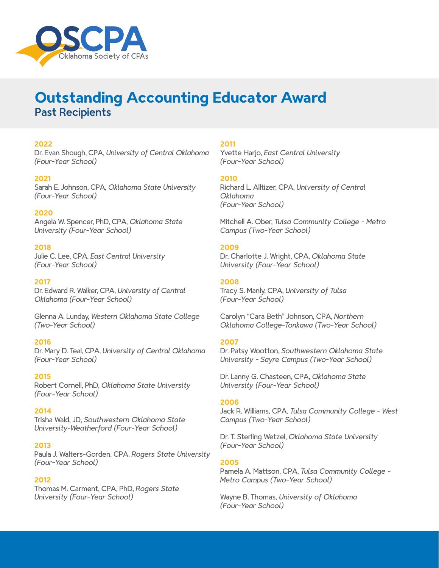

# **Outstanding Accounting Educator Award** Past Recipients

## **2022**

Dr. Evan Shough, CPA, *University of Central Oklahoma (Four-Year School)*

## **2021**

Sarah E. Johnson, CPA, *Oklahoma State University (Four-Year School)*

## **2020**

Angela W. Spencer, PhD, CPA, *Oklahoma State University (Four-Year School)*

## **2018**

Julie C. Lee, CPA, *East Central University (Four-Year School)*

#### **2017**

Dr. Edward R. Walker, CPA, *University of Central Oklahoma (Four-Year School)*

Glenna A. Lunday, *Western Oklahoma State College (Two-Year School)*

## **2016**

Dr. Mary D. Teal, CPA, *University of Central Oklahoma (Four-Year School)*

#### **2015**

Robert Cornell, PhD, *Oklahoma State University (Four-Year School)*

#### **2014**

Trisha Wald, JD, *Southwestern Oklahoma State University-Weatherford (Four-Year School)*

#### **2013**

Paula J. Walters-Gorden, CPA, *Rogers State University (Four-Year School)*

#### **2012**

Thomas M. Carment, CPA, PhD, *Rogers State University (Four-Year School)*

#### **2011**

Yvette Harjo, *East Central University (Four-Year School)*

#### **2010**

Richard L. Alltizer, CPA, *University of Central Oklahoma (Four-Year School)*

Mitchell A. Ober, *Tulsa Community College - Metro Campus (Two-Year School)*

#### **2009**

Dr. Charlotte J. Wright, CPA, *Oklahoma State University (Four-Year School)*

#### **2008**

Tracy S. Manly, CPA, *University of Tulsa (Four-Year School)*

Carolyn "Cara Beth" Johnson, CPA, *Northern Oklahoma College-Tonkawa (Two-Year School)*

#### **2007**

Dr. Patsy Wootton, *Southwestern Oklahoma State University - Sayre Campus (Two-Year School)*

Dr. Lanny G. Chasteen, CPA, *Oklahoma State University (Four-Year School)*

#### **2006**

Jack R. Williams, CPA, *Tulsa Community College - West Campus (Two-Year School)*

Dr. T. Sterling Wetzel, *Oklahoma State University (Four-Year School)*

## **2005**

Pamela A. Mattson, CPA, *Tulsa Community College - Metro Campus (Two-Year School)*

Wayne B. Thomas, *University of Oklahoma (Four-Year School)*